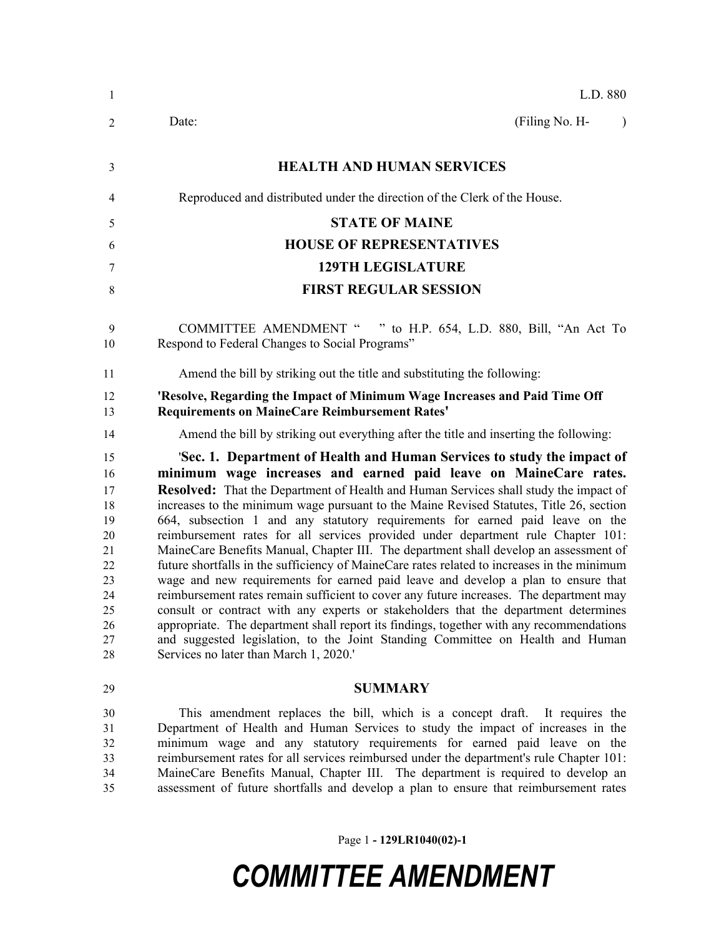| -1                                                                               | L.D. 880                                                                                                                                                                                                                                                                                                                                                                                                                                                                                                                                                                                                                                                                                                                                                                                                                                                                                                                                                                                                                                                                                                                                                                                          |
|----------------------------------------------------------------------------------|---------------------------------------------------------------------------------------------------------------------------------------------------------------------------------------------------------------------------------------------------------------------------------------------------------------------------------------------------------------------------------------------------------------------------------------------------------------------------------------------------------------------------------------------------------------------------------------------------------------------------------------------------------------------------------------------------------------------------------------------------------------------------------------------------------------------------------------------------------------------------------------------------------------------------------------------------------------------------------------------------------------------------------------------------------------------------------------------------------------------------------------------------------------------------------------------------|
| 2                                                                                | (Filing No. H-<br>Date:<br>$\lambda$                                                                                                                                                                                                                                                                                                                                                                                                                                                                                                                                                                                                                                                                                                                                                                                                                                                                                                                                                                                                                                                                                                                                                              |
| 3                                                                                | <b>HEALTH AND HUMAN SERVICES</b>                                                                                                                                                                                                                                                                                                                                                                                                                                                                                                                                                                                                                                                                                                                                                                                                                                                                                                                                                                                                                                                                                                                                                                  |
| 4                                                                                | Reproduced and distributed under the direction of the Clerk of the House.                                                                                                                                                                                                                                                                                                                                                                                                                                                                                                                                                                                                                                                                                                                                                                                                                                                                                                                                                                                                                                                                                                                         |
| 5                                                                                | <b>STATE OF MAINE</b>                                                                                                                                                                                                                                                                                                                                                                                                                                                                                                                                                                                                                                                                                                                                                                                                                                                                                                                                                                                                                                                                                                                                                                             |
| 6                                                                                | <b>HOUSE OF REPRESENTATIVES</b>                                                                                                                                                                                                                                                                                                                                                                                                                                                                                                                                                                                                                                                                                                                                                                                                                                                                                                                                                                                                                                                                                                                                                                   |
| 7                                                                                | <b>129TH LEGISLATURE</b>                                                                                                                                                                                                                                                                                                                                                                                                                                                                                                                                                                                                                                                                                                                                                                                                                                                                                                                                                                                                                                                                                                                                                                          |
| 8                                                                                | <b>FIRST REGULAR SESSION</b>                                                                                                                                                                                                                                                                                                                                                                                                                                                                                                                                                                                                                                                                                                                                                                                                                                                                                                                                                                                                                                                                                                                                                                      |
| 9<br>10                                                                          | <b>COMMITTEE AMENDMENT "</b><br>" to H.P. 654, L.D. 880, Bill, "An Act To<br>Respond to Federal Changes to Social Programs"                                                                                                                                                                                                                                                                                                                                                                                                                                                                                                                                                                                                                                                                                                                                                                                                                                                                                                                                                                                                                                                                       |
| 11                                                                               | Amend the bill by striking out the title and substituting the following:                                                                                                                                                                                                                                                                                                                                                                                                                                                                                                                                                                                                                                                                                                                                                                                                                                                                                                                                                                                                                                                                                                                          |
| 12<br>13                                                                         | 'Resolve, Regarding the Impact of Minimum Wage Increases and Paid Time Off<br><b>Requirements on MaineCare Reimbursement Rates'</b>                                                                                                                                                                                                                                                                                                                                                                                                                                                                                                                                                                                                                                                                                                                                                                                                                                                                                                                                                                                                                                                               |
| 14                                                                               | Amend the bill by striking out everything after the title and inserting the following:                                                                                                                                                                                                                                                                                                                                                                                                                                                                                                                                                                                                                                                                                                                                                                                                                                                                                                                                                                                                                                                                                                            |
| 15<br>16<br>17<br>18<br>19<br>20<br>21<br>22<br>23<br>24<br>25<br>26<br>27<br>28 | 'Sec. 1. Department of Health and Human Services to study the impact of<br>minimum wage increases and earned paid leave on MaineCare rates.<br><b>Resolved:</b> That the Department of Health and Human Services shall study the impact of<br>increases to the minimum wage pursuant to the Maine Revised Statutes, Title 26, section<br>664, subsection 1 and any statutory requirements for earned paid leave on the<br>reimbursement rates for all services provided under department rule Chapter 101:<br>MaineCare Benefits Manual, Chapter III. The department shall develop an assessment of<br>future shortfalls in the sufficiency of MaineCare rates related to increases in the minimum<br>wage and new requirements for earned paid leave and develop a plan to ensure that<br>reimbursement rates remain sufficient to cover any future increases. The department may<br>consult or contract with any experts or stakeholders that the department determines<br>appropriate. The department shall report its findings, together with any recommendations<br>and suggested legislation, to the Joint Standing Committee on Health and Human<br>Services no later than March 1, 2020.' |
| 29                                                                               | <b>SUMMARY</b>                                                                                                                                                                                                                                                                                                                                                                                                                                                                                                                                                                                                                                                                                                                                                                                                                                                                                                                                                                                                                                                                                                                                                                                    |
| 30<br>31<br>32<br>33<br>34                                                       | This amendment replaces the bill, which is a concept draft. It requires the<br>Department of Health and Human Services to study the impact of increases in the<br>minimum wage and any statutory requirements for earned paid leave on the<br>reimbursement rates for all services reimbursed under the department's rule Chapter 101:<br>MaineCare Benefits Manual, Chapter III. The department is required to develop an                                                                                                                                                                                                                                                                                                                                                                                                                                                                                                                                                                                                                                                                                                                                                                        |

assessment of future shortfalls and develop a plan to ensure that reimbursement rates

Page 1 **- 129LR1040(02)-1**

## *COMMITTEE AMENDMENT*